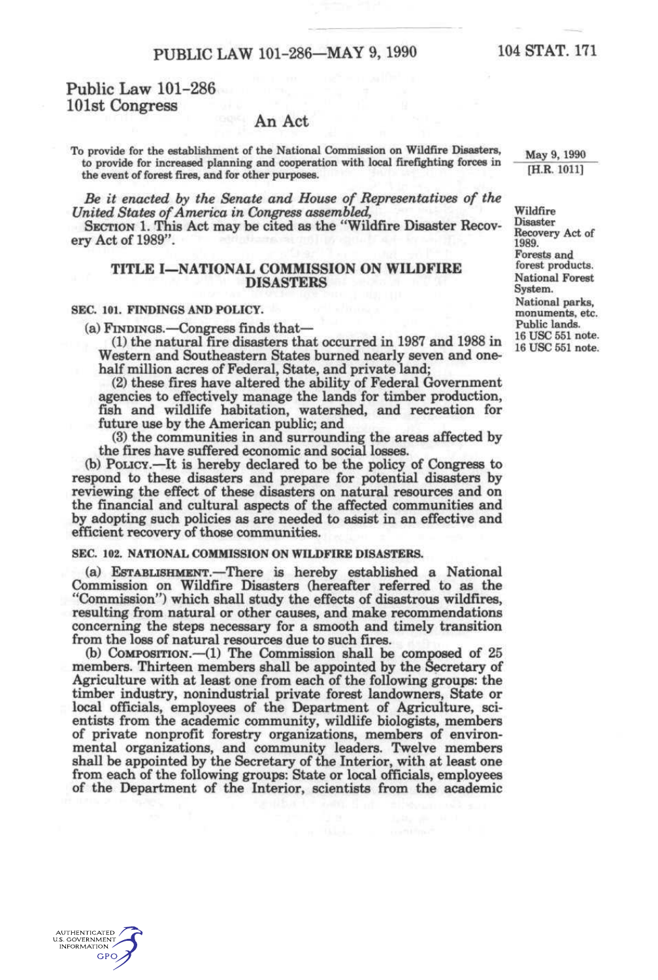# **Public Law 101-286 101st Congress**

# **An Act**

**To provide for the establishment of the National Commission on Wildfire Disasters, to provide for increased planning and cooperation with locsd firefighting forces in the event of forest fires, and for other purposes.** 

*Be it enacted by the Senate and House of Representatives of the United States of America in Congress assembled,* 

SECTION 1. This Act may be cited as the "Wildfire Disaster Recovery Act of 1989".

# **TITLE I—NATIONAL COMMISSION ON WILDFIRE DISASTERS**

### **SEC. 101. FINDINGS AND POLICY.**

(a) FINDINGS.—Congress finds that—

(1) the natural fire disasters that occurred in 1987 and 1988 in Western and Southeastern States burned nearly seven and onehalf million acres of Federal, State, and private land;

(2) these fires have altered the ability of Federal Government agencies to effectively manage the lands for timber production, fish and wildlife habitation, watershed, and recreation for future use by the American public; and

(3) the communities in and surrounding the areas affected by the fires have suffered economic and social losses.

(b) PoucY.—It is hereby declared to be the policy of Congress to respond to these disasters and prepare for potential disasters by reviewing the effect of these disasters on natural resources and on the financial and cultural aspects of the affected communities and by adopting such policies as are needed to assist in an effective and efficient recovery of those communities.

# SEC. 102. NATIONAL COMMISSION ON WILDFIRE DISASTERS.

(a) EsTABUSHMENT.—There is hereby established a National Commission on Wildfire Disasters (hereafter referred to as the "Commission") which shall study the effects of disastrous wildfires, resulting from natural or other causes, and make recommendations concerning the steps necessary for a smooth and timely transition from the loss of natural resources due to such fires.

(b) COMPOSITION.—(1) The Commission shall be composed of 25 members. Thirteen members shall be appointed by the Secretary of Agriculture with at least one from each of the following groups: the timber industry, nonindustrial private forest landowners. State or local officials, employees of the Department of Agriculture, scientists from the academic community, wildlife biologists, members of private nonprofit forestry organizations, members of environmental organizations, and community leaders. Twelve members shall be appointed by the Secretary of the Interior, with at least one from each of the following groups: State or local officials, employees of the Department of the Interior, scientists from the academic

**May 9, 1990 [H.R. 1011]** 

**Wildfire Disaster Recovery Act of 1989. Forests and forest products. National Forest System. National parks, monuments, etc. Public lands.**  16 USC 551 note. 16 USC 551 note.

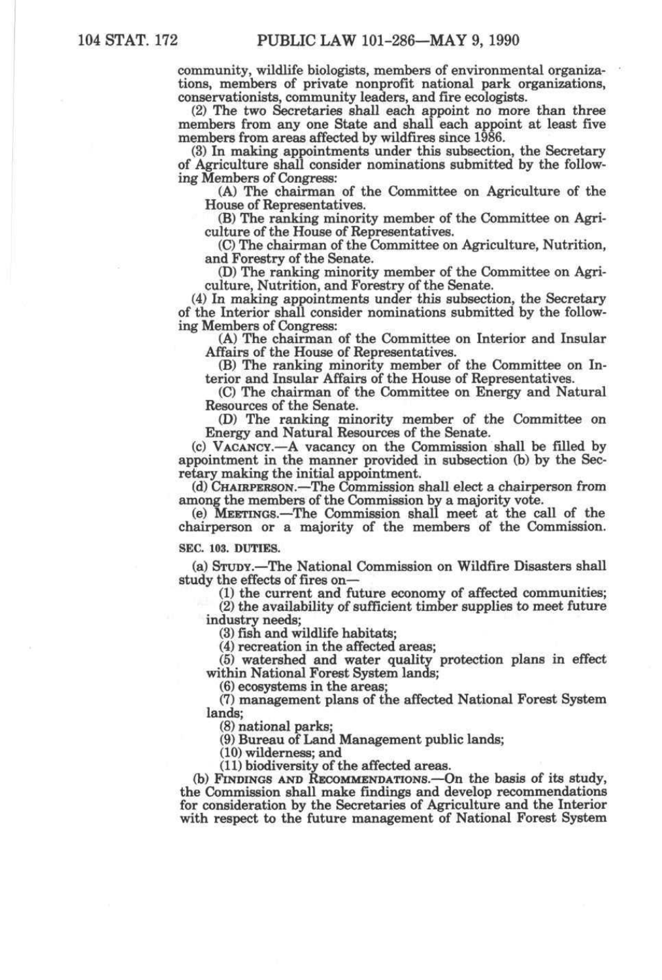community, wildlife biologists, members of environmental organizations, members of private nonprofit national park organizations, conservationists, community leaders, and fire ecologists.

(2) The two Secretaries shall each appoint no more than three members from any one State and shall each appoint at least five members from areas affected by wildfires since 1986.

(3) In making appointments under this subsection, the Secretary of Agriculture shall consider nominations submitted by the following Members of Congress:

(A) The chairman of the Committee on Agriculture of the House of Representatives.

(B) The ranking minority member of the Committee on Agriculture of the House of Representatives.

(C) The chairman of the Committee on Agriculture, Nutrition, and Forestry of the Senate.

(D) The ranking minority member of the Committee on Agriculture, Nutrition, and Forestry of the Senate.

(4) In making appointments under this subsection, the Secretary of the Interior shall consider nominations submitted by the following Members of Congress:

(A) The chairman of the Committee on Interior and Insular Affairs of the House of Representatives.

(B) The ranking minority member of the Committee on Interior and Insular Affairs of the House of Representatives.

(C) The chairman of the Committee on Energy and Natural Resources of the Senate.

(D) The ranking minority member of the Committee on Energy and Natural Resources of the Senate.

(c) VACANCY.—A vacancy on the Commission shall be filled by appointment in the manner provided in subsection *Qo)* by the Secretary making the initial appointment.

(d) CHAIRPERSON.—The Commission shall elect a cheiirperson from among the members of the Commission by a majority vote.

(e) MEETINGS.—The Commission shall meet at the call of the chairperson or a majority of the members of the Commission.

#### **SEC. 103. DUTIES.**

(a) STUDY.—The National Commission on Wildfire Disasters shall study the effects of fires on—

(1) the current and future economy of affected communities;

(2) the availability of sufficient timber supplies to meet future industry needs;

(3) fish and wildlife habitats;

(4) recreation in the affected areas;

(5) watershed and water quality protection plans in effect within National Forest System lands;

(6) ecosystems in the areas;

(7) management plans of the affected National Forest System lands;

(8) national parks;

(9) Bureau of Land Management public lands;

(10) wilderness; and

(11) biodiversity of the affected areas.

(b) FINDINGS AND RECOMMENDATIONS.—On the basis of its study, the Commission shall make findings and develop recommendations for consideration by the Secretaries of Agriculture and the Interior with respect to the future management of National Forest System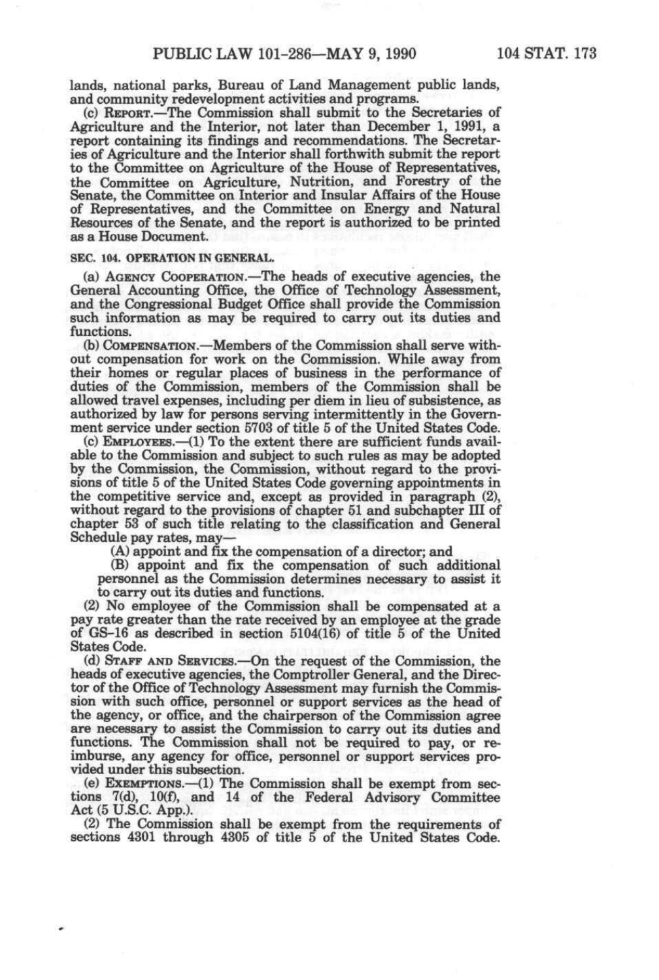lands, national parks, Bureau of Land Management public lands, and community redevelopment activities and programs.

(c) REPORT.—The Commission shall submit to the Secretaries of Agriculture and the Interior, not later than December 1, 1991, a report containing its findings and recommendations. The Secretaries of Agriculture and the Interior shall forthwith submit the report to the Committee on Agriculture of the House of Representatives, the Committee on Agriculture, Nutrition, and Forestry of the Senate, the Committee on Interior and Insular Affairs of the House of Representatives, and the Committee on Energy and Natural Resources of the Senate, and the report is authorized to be printed as a House Document.

#### **SEC. 104. OPERATION IN GENERAL.**

(a) AGENCY COOPERATION.—The heads of executive agencies, the General Accounting Office, the Office of Technology Assessment, and the Congressional Budget Office shall provide the Commission such information as may be required to carry out its duties and functions.

(b) COMPENSATION.—Members of the Commission shall serve without compensation for work on the Commission. While away from their homes or regular places of business in the performance of duties of the Commission, members of the Commission shall be allowed travel expenses, including per diem in lieu of subsistence, as authorized by law for persons serving intermittently in the Government service under section 5703 of title 5 of the United States Code.

(c) EMPLOYEES.—(1) To the extent there are sufficient funds available to the Commission and subject to such rules as may be adopted by the Commission, the Commission, without regard to the provisions of title 5 of the United States Code governing appointments in the competitive service and, except as provided in paragraph (2), without regard to the provisions of chapter 51 and subchapter III of chapter 53 of such title relating to the classification and General Schedule pay rates, may—

(A) appoint and fix the compensation of a director; and

(B) appoint and fix the compensation of such additional personnel as the Commission determines necessary to assist it to carry out its duties and functions.

(2) No employee of the Commission shall be compensated at a pay rate greater than the rate received by an employee at the grade of GS-16 as described in section 5104(16) of title 5 of the United States Code.

(d) STAFF AND SERVICES.—On the request of the Commission, the heads of executive agencies, the Comptroller General, and the Director of the Office of Technology Assessment may furnish the Commission with such office, personnel or support services as the head of the agency, or office, and the chairperson of the Commission agree are necessary to assist the Commission to carry out its duties and functions. The Commission shall not be required to pay, or reimburse, any agency for office, personnel or support services provided under this subsection.

(e) EXEMPTIONS.—(1) The Commission shall be exempt from sections 7(d), 10(f), and 14 of the Federal Advisory Committee Act (5 U.S.C. App.).

(2) The Commission shall be exempt from the requirements of sections 4301 through 4305 of title 5 of the United States Code.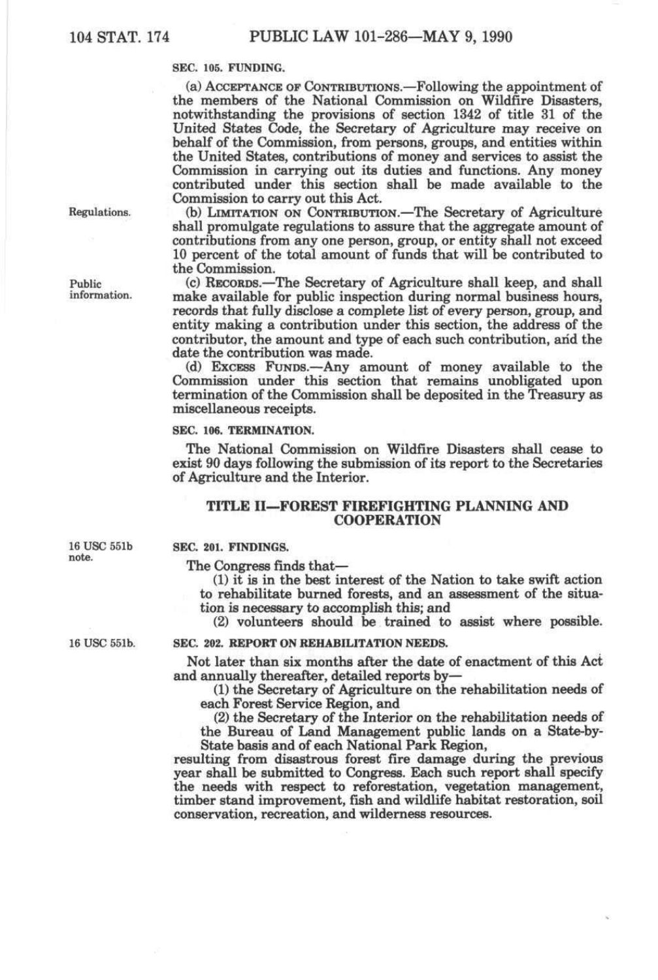# SEC. 105. FUNDING.

(a) ACCEPTANCE OF CONTRIBUTIONS.—Following the appointment of the members of the National Commission on Wildfire Disasters, notwithstanding the provisions of section 1342 of title 31 of the United States Code, the Secretary of Agriculture may receive on behalf of the Commission, from persons, groups, and entities within the United States, contributions of money and services to assist the Commission in carrying out its duties and functions. Any money contributed under this section shall be made available to the Commission to carry out this Act.

(b) LIMITATION ON CONTRIBUTION.—The Secretary of Agriculture shall promulgate regulations to assure that the aggregate amount of contributions from any one person, group, or entity shall not exceed 10 percent of the total amount of funds that will be contributed to the Commission.

(c) RECORDS.—The Secretary of Agriculture shall keep, and shall make available for public inspection during normal business hours, records that fully disclose a complete list of every person, group, and entity making a contribution under this section, the address of the contributor, the amount and type of each such contribution, and the date the contribution was made.

(d) EXCESS FUNDS.—Any amount of money available to the Commission under this section that remains unobligated upon termination of the Commission shall be deposited in the Treasury as miscellaneous receipts.

# **SEC. 106. TERMINATION.**

The National Commission on Wildfire Disasters shall cease to exist 90 days following the submission of its report to the Secretaries of Agriculture and the Interior.

# **TITLE II—FOREST FIREFIGHTING PLANNING AND COOPERATION**

SEC. **201. FINDINGS.** 

The Congress finds that—

(1) it is in the best interest of the Nation to take swift action to rehabilitate burned forests, and an assessment of the situation is necessary to accomplish this; and

(2) volunteers should be trained to assist where possible.

16 USC 551b.

16 USC 551b note.

# **SEC. 202. REPORT ON REHABILITATION NEEDS.**

Not later than six months after the date of enactment of this Act and annually thereafter, detailed reports by—

(1) the Secretary of Agriculture on the rehabilitation needs of each Forest Service Region, and

(2) the Secretary of the Interior on the rehabilitation needs of the Bureau of Land Management public lands on a State-by-State basis and of each National Park Region,

resulting from disastrous forest fire damage during the previous year shall be submitted to Congress. Each such report shall specify the needs with respect to reforestation, vegetation management, timber stand improvement, fish and wildlife habitat restoration, soil conservation, recreation, and wilderness resources.

Regulations.

Public information.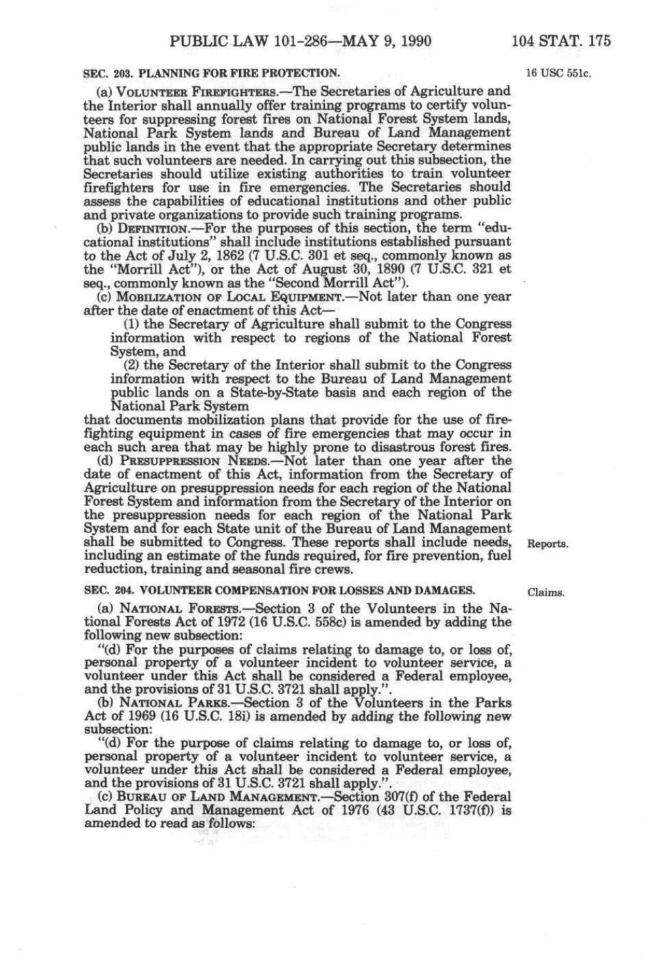**SEC. 203. PLANNING FOR FIRE PROTECTION. 16 USC 551c.** 

(a) VOLUNTEER FIREFIGHTERS.—The Secretaries of Agriculture and the Interior shall annually offer training programs to certify volunteers for suppressing forest fires on National Forest System lands, National Park System lands and Bureau of Land Management public lands in the event that the appropriate Secretary determines that such volunteers are needed. In carrying out this subsection, the Secretaries should utilize existing authorities to train volunteer firefighters for use in fire emergencies. The Secretaries should assess the capabilities of educational institutions and other public and private organizations to provide such training programs.

(b) DEFINITION.—For the purposes of this section, the term "educational institutions" shall include institutions established pursuant to the Act of July 2, 1862 (7 U.S.C. 301 et seq., commonly known as the "Morrill Act"), or the Act of August 30, 1890 (7 U.S.C. 321 et seq., commonly known as the "Second Morrill Act").

(c) MoBiuzATiON OF LocAL EQUIPMENT.—Not later than one year after the date of enactment of this Act—

(1) the Secretary of Agriculture shall submit to the Congress information with respect to regions of the National Forest System, and

(2) the Secretary of the Interior shall submit to the Congress information with respect to the Bureau of Land Management public lands on a State-by-State basis and each region of the National Park System

that documents mobilization plans that provide for the use of firefighting equipment in cases of fire emergencies that may occur in each such area that may be highly prone to disastrous forest fires.

(d) PRESUPPRESSION NEEDS.—Not later than one year after the date of enactment of this Act, information from the Secretary of Agriculture on presuppression needs for each region of the National Forest System and information from the Secretary of the Interior on the presuppression needs for each region of the National Park System and for each State unit of the Bureau of Land Management shall be submitted to Congress. These reports shall include needs, Reports. including an estimate of the funds required, for fire prevention, fuel reduction, training and seasonal fire crews.

#### **SEC. 204. VOLUNTEER COMPENSATION FOR LOSSES AND DAMAGES. Claims.**

(a) NATIONAL FORESTS.—Section 3 of the Volunteers in the National Forests Act of 1972 (16 U.S.C. 558c) is amended by adding the following new subsection:

"(d) For the purposes of claims relating to damage to, or loss of, personal property of a volunteer incident to volunteer service, a volunteer under this Act shall be considered a Federal employee, and the provisions of 31 U.S.C. 3721 shall apply.".

(b) NATIONAL PARKS.—Section 3 of the Volunteers in the Parks Act of 1969 (16 U.S.C. 18i) is amended by adding the following new subsection:

"(d) For the purpose of claims relating to damage to, or loss of, personal property of a volunteer incident to volunteer service, a volunteer under this Act shall be considered a Federal employee, and the provisions of 31 U.S.C. 3721 shall apply."

(c) BUREAU OF LAND MANAGEMENT.—Section 307(f) of the Federal Land Policy and Management Act of 1976 (43 U.S.C. 1737(f)) is amended to read as follows: